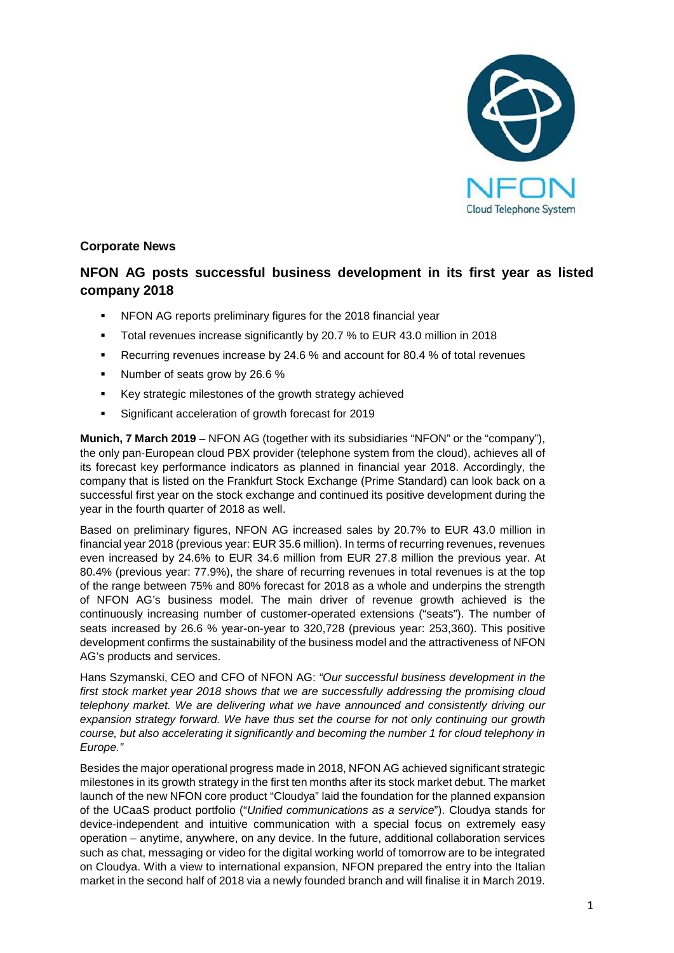

# **Corporate News**

# **NFON AG posts successful business development in its first year as listed company 2018**

- NFON AG reports preliminary figures for the 2018 financial year
- Total revenues increase significantly by 20.7 % to EUR 43.0 million in 2018
- Recurring revenues increase by 24.6 % and account for 80.4 % of total revenues
- Number of seats grow by 26.6 %
- Key strategic milestones of the growth strategy achieved
- Significant acceleration of growth forecast for 2019

**Munich, 7 March 2019** – NFON AG (together with its subsidiaries "NFON" or the "company"), the only pan-European cloud PBX provider (telephone system from the cloud), achieves all of its forecast key performance indicators as planned in financial year 2018. Accordingly, the company that is listed on the Frankfurt Stock Exchange (Prime Standard) can look back on a successful first year on the stock exchange and continued its positive development during the year in the fourth quarter of 2018 as well.

Based on preliminary figures, NFON AG increased sales by 20.7% to EUR 43.0 million in financial year 2018 (previous year: EUR 35.6 million). In terms of recurring revenues, revenues even increased by 24.6% to EUR 34.6 million from EUR 27.8 million the previous year. At 80.4% (previous year: 77.9%), the share of recurring revenues in total revenues is at the top of the range between 75% and 80% forecast for 2018 as a whole and underpins the strength of NFON AG's business model. The main driver of revenue growth achieved is the continuously increasing number of customer-operated extensions ("seats"). The number of seats increased by 26.6 % year-on-year to 320,728 (previous year: 253,360). This positive development confirms the sustainability of the business model and the attractiveness of NFON AG's products and services.

Hans Szymanski, CEO and CFO of NFON AG: *"Our successful business development in the first stock market year 2018 shows that we are successfully addressing the promising cloud telephony market. We are delivering what we have announced and consistently driving our expansion strategy forward. We have thus set the course for not only continuing our growth course, but also accelerating it significantly and becoming the number 1 for cloud telephony in Europe."*

Besides the major operational progress made in 2018, NFON AG achieved significant strategic milestones in its growth strategy in the first ten months after its stock market debut. The market launch of the new NFON core product "Cloudya" laid the foundation for the planned expansion of the UCaaS product portfolio ("*Unified communications as a service*"). Cloudya stands for device-independent and intuitive communication with a special focus on extremely easy operation – anytime, anywhere, on any device. In the future, additional collaboration services such as chat, messaging or video for the digital working world of tomorrow are to be integrated on Cloudya. With a view to international expansion, NFON prepared the entry into the Italian market in the second half of 2018 via a newly founded branch and will finalise it in March 2019.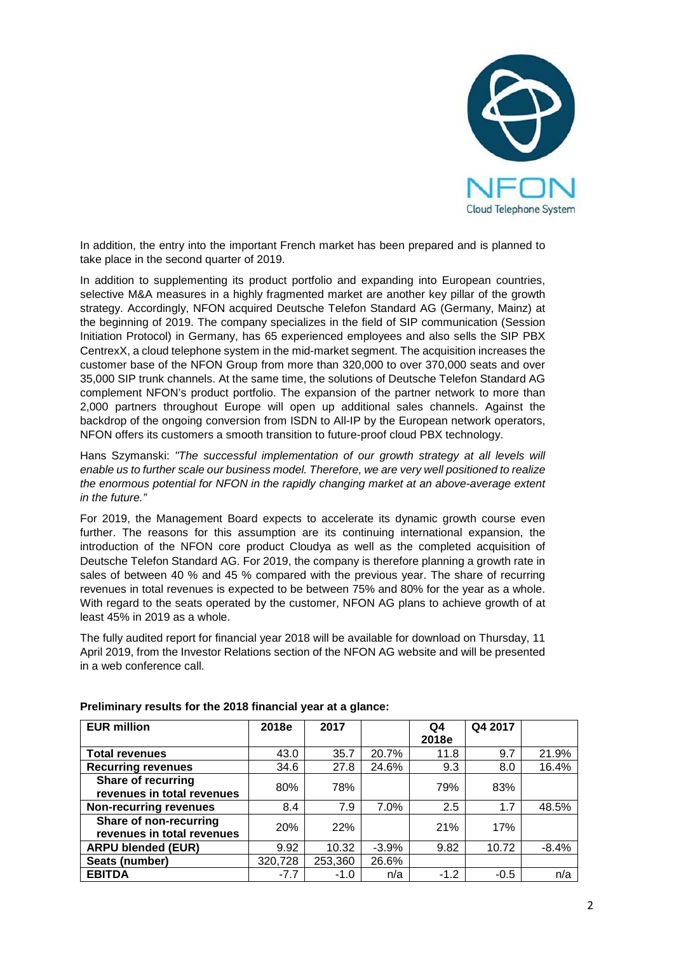

In addition, the entry into the important French market has been prepared and is planned to take place in the second quarter of 2019.

In addition to supplementing its product portfolio and expanding into European countries, selective M&A measures in a highly fragmented market are another key pillar of the growth strategy. Accordingly, NFON acquired Deutsche Telefon Standard AG (Germany, Mainz) at the beginning of 2019. The company specializes in the field of SIP communication (Session Initiation Protocol) in Germany, has 65 experienced employees and also sells the SIP PBX CentrexX, a cloud telephone system in the mid-market segment. The acquisition increases the customer base of the NFON Group from more than 320,000 to over 370,000 seats and over 35,000 SIP trunk channels. At the same time, the solutions of Deutsche Telefon Standard AG complement NFON's product portfolio. The expansion of the partner network to more than 2,000 partners throughout Europe will open up additional sales channels. Against the backdrop of the ongoing conversion from ISDN to All-IP by the European network operators, NFON offers its customers a smooth transition to future-proof cloud PBX technology.

Hans Szymanski: *"The successful implementation of our growth strategy at all levels will enable us to further scale our business model. Therefore, we are very well positioned to realize the enormous potential for NFON in the rapidly changing market at an above-average extent in the future."*

For 2019, the Management Board expects to accelerate its dynamic growth course even further. The reasons for this assumption are its continuing international expansion, the introduction of the NFON core product Cloudya as well as the completed acquisition of Deutsche Telefon Standard AG. For 2019, the company is therefore planning a growth rate in sales of between 40 % and 45 % compared with the previous year. The share of recurring revenues in total revenues is expected to be between 75% and 80% for the year as a whole. With regard to the seats operated by the customer, NFON AG plans to achieve growth of at least 45% in 2019 as a whole.

The fully audited report for financial year 2018 will be available for download on Thursday, 11 April 2019, from the Investor Relations section of the NFON AG website and will be presented in a web conference call.

| <b>EUR million</b>            | 2018e      | 2017    |         | Q4     | Q4 2017 |         |
|-------------------------------|------------|---------|---------|--------|---------|---------|
|                               |            |         |         | 2018e  |         |         |
| <b>Total revenues</b>         | 43.0       | 35.7    | 20.7%   | 11.8   | 9.7     | 21.9%   |
| <b>Recurring revenues</b>     | 34.6       | 27.8    | 24.6%   | 9.3    | 8.0     | 16.4%   |
| <b>Share of recurring</b>     | 80%        | 78%     |         | 79%    | 83%     |         |
| revenues in total revenues    |            |         |         |        |         |         |
| <b>Non-recurring revenues</b> | 8.4        | 7.9     | $7.0\%$ | 2.5    | 1.7     | 48.5%   |
| Share of non-recurring        | <b>20%</b> | 22%     |         | 21%    | 17%     |         |
| revenues in total revenues    |            |         |         |        |         |         |
| <b>ARPU blended (EUR)</b>     | 9.92       | 10.32   | $-3.9%$ | 9.82   | 10.72   | $-8.4%$ |
| Seats (number)                | 320,728    | 253,360 | 26.6%   |        |         |         |
| <b>EBITDA</b>                 | $-7.7$     | $-1.0$  | n/a     | $-1.2$ | $-0.5$  | n/a     |

**Preliminary results for the 2018 financial year at a glance:**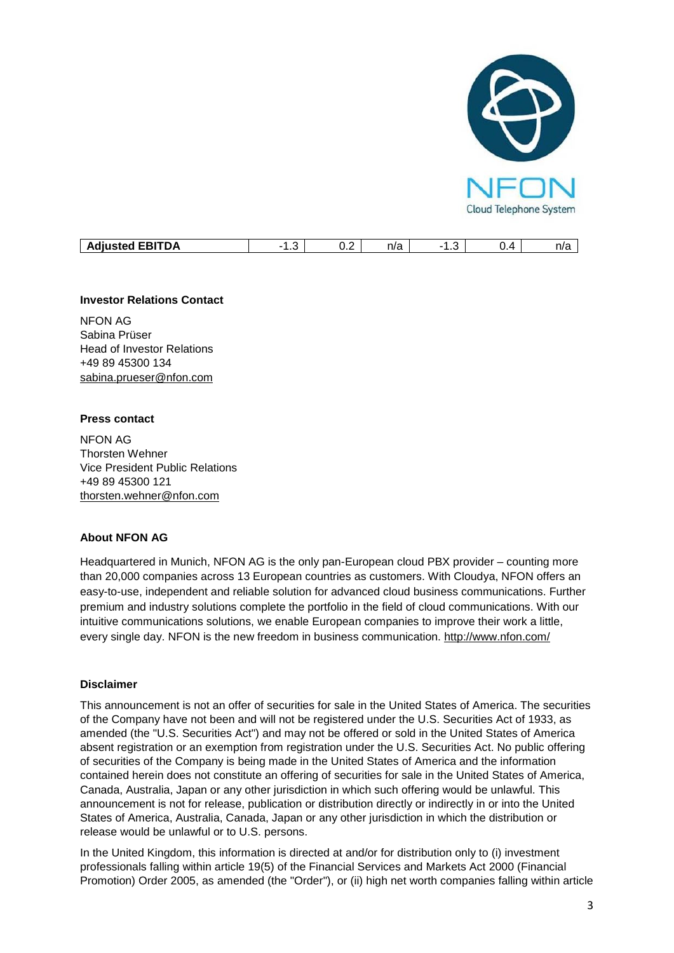

| . <b>.</b> .<br>- -<br>$i$ ctor $i$<br>- •<br>DΑ<br><b>AQIUSTEG</b><br>.<br>. . | . . | -<br>$\mathsf{v}.\mathsf{v}$ | $n^{n}$<br>11 C | . | - - - | n/a |
|---------------------------------------------------------------------------------|-----|------------------------------|-----------------|---|-------|-----|

# **Investor Relations Contact**

NFON AG Sabina Prüser Head of Investor Relations +49 89 45300 134 [sabina.prueser@nfon.com](mailto:sabina.prueser@nfon.com)

#### **Press contact**

NFON AG Thorsten Wehner Vice President Public Relations +49 89 45300 121 [thorsten.wehner@nfon.com](mailto:thorsten.wehner@nfon.com)

# **About NFON AG**

Headquartered in Munich, NFON AG is the only pan-European cloud PBX provider – counting more than 20,000 companies across 13 European countries as customers. With Cloudya, NFON offers an easy-to-use, independent and reliable solution for advanced cloud business communications. Further premium and industry solutions complete the portfolio in the field of cloud communications. With our intuitive communications solutions, we enable European companies to improve their work a little, every single day. NFON is the new freedom in business communication. <http://www.nfon.com/>

# **Disclaimer**

This announcement is not an offer of securities for sale in the United States of America. The securities of the Company have not been and will not be registered under the U.S. Securities Act of 1933, as amended (the "U.S. Securities Act") and may not be offered or sold in the United States of America absent registration or an exemption from registration under the U.S. Securities Act. No public offering of securities of the Company is being made in the United States of America and the information contained herein does not constitute an offering of securities for sale in the United States of America, Canada, Australia, Japan or any other jurisdiction in which such offering would be unlawful. This announcement is not for release, publication or distribution directly or indirectly in or into the United States of America, Australia, Canada, Japan or any other jurisdiction in which the distribution or release would be unlawful or to U.S. persons.

In the United Kingdom, this information is directed at and/or for distribution only to (i) investment professionals falling within article 19(5) of the Financial Services and Markets Act 2000 (Financial Promotion) Order 2005, as amended (the "Order"), or (ii) high net worth companies falling within article